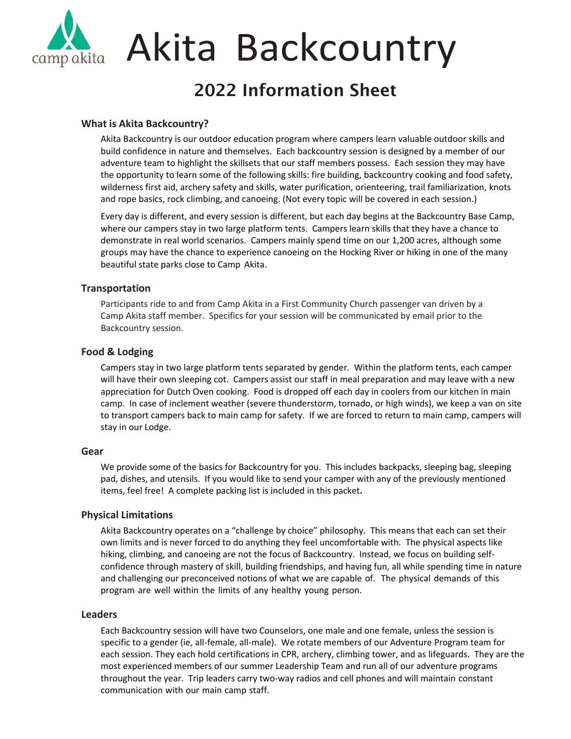

# Akita Backcountry

### 2022 Information Sheet

#### **What is Akita Backcountry?**

Akita Backcountry is our outdoor education program where campers learn valuable outdoor skills and build confidence in nature and themselves. Each backcountry session is designed by a member of our adventure team to highlight the skillsets that our staff members possess. Each session they may have the opportunity to learn some of the following skills: fire building, backcountry cooking and food safety, wilderness first aid, archery safety and skills, water purification, orienteering, trail familiarization, knots and rope basics, rock climbing, and canoeing. (Not every topic will be covered in each session.)

Every day is different, and every session is different, but each day begins at the Backcountry Base Camp, where our campers stay in two large platform tents. Campers learn skills that they have a chance to demonstrate in real world scenarios. Campers mainly spend time on our 1,200 acres, although some groups may have the chance to experience canoeing on the Hocking River or hiking in one of the many beautiful state parks close to Camp Akita.

#### **Transportation**

Participants ride to and from Camp Akita in a First Community Church passenger van driven by a Camp Akita staff member. Specifics for your session will be communicated by email prior to the Backcountry session.

#### **Food & Lodging**

Campers stay in two large platform tents separated by gender. Within the platform tents, each camper will have their own sleeping cot. Campers assist our staff in meal preparation and may leave with a new appreciation for Dutch Oven cooking. Food is dropped off each day in coolers from our kitchen in main camp. In case of inclement weather (severe thunderstorm, tornado, or high winds), we keep a van on site to transport campers back to main camp for safety. If we are forced to return to main camp, campers will stay in our Lodge.

#### **Gear**

We provide some of the basics for Backcountry for you. This includes backpacks, sleeping bag, sleeping pad, dishes, and utensils. If you would like to send your camper with any of the previously mentioned items, feel free! A complete packing list is included in this packet**.**

#### **Physical Limitations**

Akita Backcountry operates on a "challenge by choice" philosophy. This means that each can set their own limits and is never forced to do anything they feel uncomfortable with. The physical aspects like hiking, climbing, and canoeing are not the focus of Backcountry. Instead, we focus on building self‐ confidence through mastery of skill, building friendships, and having fun, all while spending time in nature and challenging our preconceived notions of what we are capable of. The physical demands of this program are well within the limits of any healthy young person.

#### **Leaders**

Each Backcountry session will have two Counselors, one male and one female, unless the session is specific to a gender (ie, all‐female, all‐male). We rotate members of our Adventure Program team for each session. They each hold certifications in CPR, archery, climbing tower, and as lifeguards. They are the most experienced members of our summer Leadership Team and run all of our adventure programs throughout the year. Trip leaders carry two-way radios and cell phones and will maintain constant communication with our main camp staff.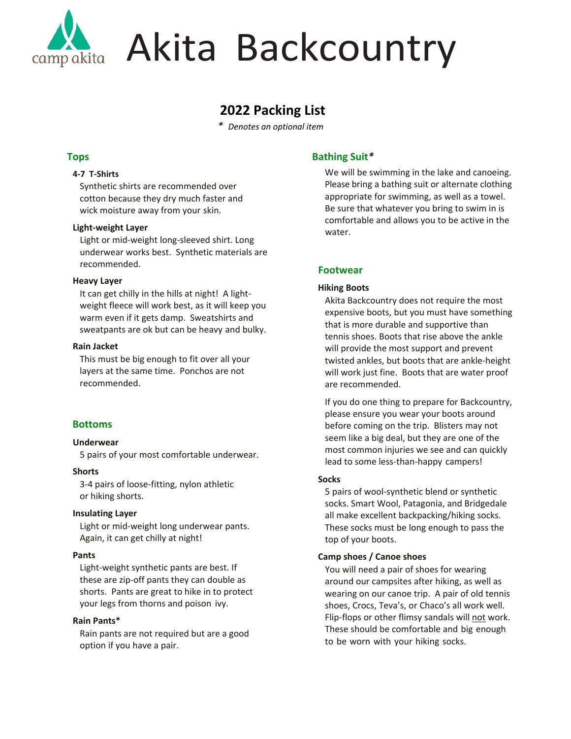

# Akita Backcountry

### **2022 Packing List**

*\* Denotes an optional item*

#### **Tops**

#### **4‐7 T‐Shirts**

Synthetic shirts are recommended over cotton because they dry much faster and wick moisture away from your skin.

#### **Light‐weight Layer**

Light or mid‐weight long‐sleeved shirt. Long underwear works best. Synthetic materials are recommended.

#### **Heavy Layer**

It can get chilly in the hills at night! A light‐ weight fleece will work best, as it will keep you warm even if it gets damp. Sweatshirts and sweatpants are ok but can be heavy and bulky.

#### **Rain Jacket**

This must be big enough to fit over all your layers at the same time. Ponchos are not recommended.

#### **Bottoms**

#### **Underwear**

5 pairs of your most comfortable underwear.

#### **Shorts**

3‐4 pairs of loose‐fitting, nylon athletic or hiking shorts.

#### **Insulating Layer**

Light or mid‐weight long underwear pants. Again, it can get chilly at night!

#### **Pants**

Light‐weight synthetic pants are best. If these are zip‐off pants they can double as shorts. Pants are great to hike in to protect your legs from thorns and poison ivy.

#### **Rain Pants\***

Rain pants are not required but are a good option if you have a pair.

#### **Bathing Suit***\**

We will be swimming in the lake and canoeing. Please bring a bathing suit or alternate clothing appropriate for swimming, as well as a towel. Be sure that whatever you bring to swim in is comfortable and allows you to be active in the water.

#### **Footwear**

#### **Hiking Boots**

Akita Backcountry does not require the most expensive boots, but you must have something that is more durable and supportive than tennis shoes. Boots that rise above the ankle will provide the most support and prevent twisted ankles, but boots that are ankle‐height will work just fine. Boots that are water proof are recommended.

If you do one thing to prepare for Backcountry, please ensure you wear your boots around before coming on the trip. Blisters may not seem like a big deal, but they are one of the most common injuries we see and can quickly lead to some less‐than‐happy campers!

#### **Socks**

5 pairs of wool‐synthetic blend or synthetic socks. Smart Wool, Patagonia, and Bridgedale all make excellent backpacking/hiking socks. These socks must be long enough to pass the top of your boots.

#### **Camp shoes / Canoe shoes**

You will need a pair of shoes for wearing around our campsites after hiking, as well as wearing on our canoe trip. A pair of old tennis shoes, Crocs, Teva's, or Chaco's all work well. Flip‐flops or other flimsy sandals will not work. These should be comfortable and big enough to be worn with your hiking socks.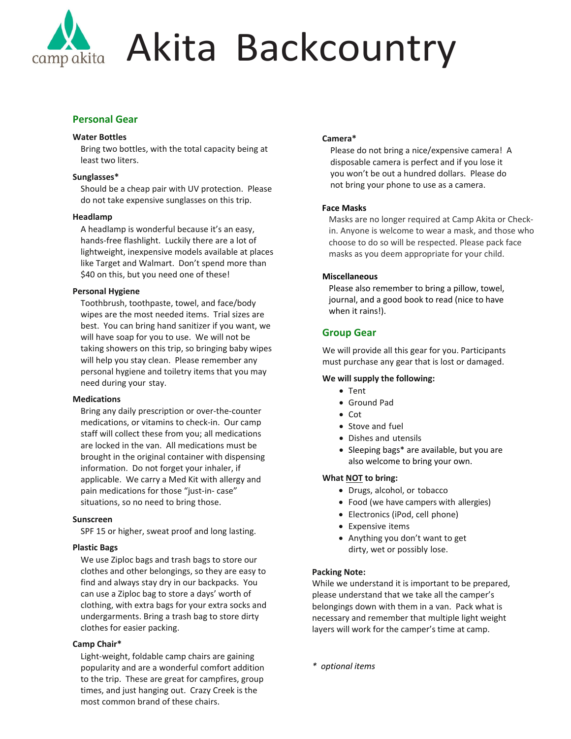

## Akita Backcountry

#### **Personal Gear**

#### **Water Bottles**

Bring two bottles, with the total capacity being at least two liters.

#### **Sunglasses\***

Should be a cheap pair with UV protection. Please do not take expensive sunglasses on this trip.

#### **Headlamp**

A headlamp is wonderful because it's an easy, hands‐free flashlight. Luckily there are a lot of lightweight, inexpensive models available at places like Target and Walmart. Don't spend more than \$40 on this, but you need one of these!

#### **Personal Hygiene**

Toothbrush, toothpaste, towel, and face/body wipes are the most needed items. Trial sizes are best. You can bring hand sanitizer if you want, we will have soap for you to use. We will not be taking showers on this trip, so bringing baby wipes will help you stay clean. Please remember any personal hygiene and toiletry items that you may need during your stay.

#### **Medications**

Bring any daily prescription or over‐the‐counter medications, or vitamins to check‐in. Our camp staff will collect these from you; all medications are locked in the van. All medications must be brought in the original container with dispensing information. Do not forget your inhaler, if applicable. We carry a Med Kit with allergy and pain medications for those "just-in-case" situations, so no need to bring those.

#### **Sunscreen**

SPF 15 or higher, sweat proof and long lasting.

#### **Plastic Bags**

We use Ziploc bags and trash bags to store our clothes and other belongings, so they are easy to find and always stay dry in our backpacks. You can use a Ziploc bag to store a days' worth of clothing, with extra bags for your extra socks and undergarments. Bring a trash bag to store dirty clothes for easier packing.

#### **Camp Chair\***

Light‐weight, foldable camp chairs are gaining popularity and are a wonderful comfort addition to the trip. These are great for campfires, group times, and just hanging out. Crazy Creek is the most common brand of these chairs.

#### **Camera\***

Please do not bring a nice/expensive camera! A disposable camera is perfect and if you lose it you won't be out a hundred dollars. Please do not bring your phone to use as a camera.

#### **Face Masks**

Masks are no longer required at Camp Akita or Check‐ in. Anyone is welcome to wear a mask, and those who choose to do so will be respected. Please pack face masks as you deem appropriate for your child.

#### **Miscellaneous**

Please also remember to bring a pillow, towel, journal, and a good book to read (nice to have when it rains!).

#### **Group Gear**

We will provide all this gear for you. Participants must purchase any gear that is lost or damaged.

#### **We will supply the following:**

- Tent
- Ground Pad
- $\bullet$  Cot
- Stove and fuel
- Dishes and utensils
- Sleeping bags\* are available, but you are also welcome to bring your own.

#### **What NOT to bring:**

- Drugs, alcohol, or tobacco
- Food (we have campers with allergies)
- Electronics (iPod, cell phone)
- Expensive items
- Anything you don't want to get dirty, wet or possibly lose.

#### **Packing Note:**

While we understand it is important to be prepared, please understand that we take all the camper's belongings down with them in a van. Pack what is necessary and remember that multiple light weight layers will work for the camper's time at camp.

*\* optional items*